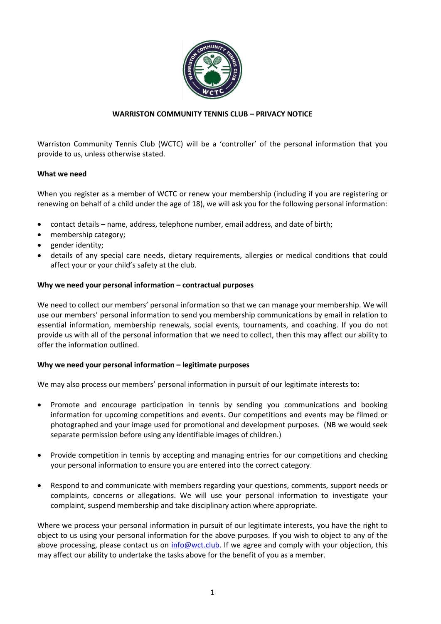

# **WARRISTON COMMUNITY TENNIS CLUB – PRIVACY NOTICE**

Warriston Community Tennis Club (WCTC) will be a 'controller' of the personal information that you provide to us, unless otherwise stated.

# **What we need**

When you register as a member of WCTC or renew your membership (including if you are registering or renewing on behalf of a child under the age of 18), we will ask you for the following personal information:

- contact details name, address, telephone number, email address, and date of birth;
- membership category;
- gender identity;
- details of any special care needs, dietary requirements, allergies or medical conditions that could affect your or your child's safety at the club.

## **Why we need your personal information – contractual purposes**

We need to collect our members' personal information so that we can manage your membership. We will use our members' personal information to send you membership communications by email in relation to essential information, membership renewals, social events, tournaments, and coaching. If you do not provide us with all of the personal information that we need to collect, then this may affect our ability to offer the information outlined.

## **Why we need your personal information – legitimate purposes**

We may also process our members' personal information in pursuit of our legitimate interests to:

- Promote and encourage participation in tennis by sending you communications and booking information for upcoming competitions and events. Our competitions and events may be filmed or photographed and your image used for promotional and development purposes. (NB we would seek separate permission before using any identifiable images of children.)
- Provide competition in tennis by accepting and managing entries for our competitions and checking your personal information to ensure you are entered into the correct category.
- Respond to and communicate with members regarding your questions, comments, support needs or complaints, concerns or allegations. We will use your personal information to investigate your complaint, suspend membership and take disciplinary action where appropriate.

Where we process your personal information in pursuit of our legitimate interests, you have the right to object to us using your personal information for the above purposes. If you wish to object to any of the above processing, please contact us on [info@wct.club.](mailto:info@wct.club) If we agree and comply with your objection, this may affect our ability to undertake the tasks above for the benefit of you as a member.